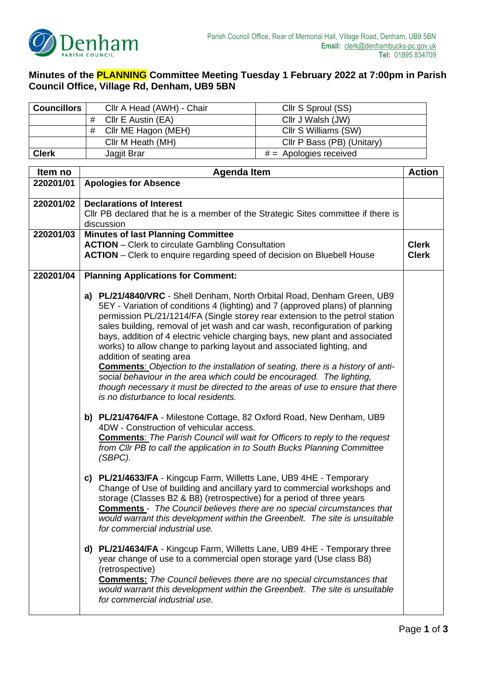

## **Minutes of the PLANNING Committee Meeting Tuesday 1 February 2022 at 7:00pm in Parish Council Office, Village Rd, Denham, UB9 5BN**

| <b>Councillors</b> | Cllr A Head (AWH) - Chair                                                                                                                                                                                                                                                                                                                                                                                                                                                                                                                                                                                                                                                                                                                                                                                                                                                           | Cllr S Sproul (SS)         |               |
|--------------------|-------------------------------------------------------------------------------------------------------------------------------------------------------------------------------------------------------------------------------------------------------------------------------------------------------------------------------------------------------------------------------------------------------------------------------------------------------------------------------------------------------------------------------------------------------------------------------------------------------------------------------------------------------------------------------------------------------------------------------------------------------------------------------------------------------------------------------------------------------------------------------------|----------------------------|---------------|
|                    | Cllr E Austin (EA)<br>#                                                                                                                                                                                                                                                                                                                                                                                                                                                                                                                                                                                                                                                                                                                                                                                                                                                             | Cllr J Walsh (JW)          |               |
|                    | Cllr ME Hagon (MEH)<br>#                                                                                                                                                                                                                                                                                                                                                                                                                                                                                                                                                                                                                                                                                                                                                                                                                                                            | Cllr S Williams (SW)       |               |
|                    | Cllr M Heath (MH)                                                                                                                                                                                                                                                                                                                                                                                                                                                                                                                                                                                                                                                                                                                                                                                                                                                                   | Cllr P Bass (PB) (Unitary) |               |
| <b>Clerk</b>       | Jagjit Brar                                                                                                                                                                                                                                                                                                                                                                                                                                                                                                                                                                                                                                                                                                                                                                                                                                                                         | $# =$ Apologies received   |               |
| Item no            | Agenda Item                                                                                                                                                                                                                                                                                                                                                                                                                                                                                                                                                                                                                                                                                                                                                                                                                                                                         |                            | <b>Action</b> |
| 220201/01          | <b>Apologies for Absence</b>                                                                                                                                                                                                                                                                                                                                                                                                                                                                                                                                                                                                                                                                                                                                                                                                                                                        |                            |               |
| 220201/02          | <b>Declarations of Interest</b><br>CIIr PB declared that he is a member of the Strategic Sites committee if there is<br>discussion                                                                                                                                                                                                                                                                                                                                                                                                                                                                                                                                                                                                                                                                                                                                                  |                            |               |
| 220201/03          | <b>Minutes of last Planning Committee</b><br><b>ACTION</b> - Clerk to circulate Gambling Consultation<br><b>Clerk</b><br><b>ACTION</b> – Clerk to enquire regarding speed of decision on Bluebell House<br><b>Clerk</b>                                                                                                                                                                                                                                                                                                                                                                                                                                                                                                                                                                                                                                                             |                            |               |
| 220201/04          | <b>Planning Applications for Comment:</b>                                                                                                                                                                                                                                                                                                                                                                                                                                                                                                                                                                                                                                                                                                                                                                                                                                           |                            |               |
|                    | a) PL/21/4840/VRC - Shell Denham, North Orbital Road, Denham Green, UB9<br>5EY - Variation of conditions 4 (lighting) and 7 (approved plans) of planning<br>permission PL/21/1214/FA (Single storey rear extension to the petrol station<br>sales building, removal of jet wash and car wash, reconfiguration of parking<br>bays, addition of 4 electric vehicle charging bays, new plant and associated<br>works) to allow change to parking layout and associated lighting, and<br>addition of seating area<br><b>Comments:</b> Objection to the installation of seating, there is a history of anti-<br>social behaviour in the area which could be encouraged. The lighting,<br>though necessary it must be directed to the areas of use to ensure that there<br>is no disturbance to local residents.<br>b) PL/21/4764/FA - Milestone Cottage, 82 Oxford Road, New Denham, UB9 |                            |               |
|                    | 4DW - Construction of vehicular access.<br><b>Comments:</b> The Parish Council will wait for Officers to reply to the request<br>from Cllr PB to call the application in to South Bucks Planning Committee<br>(SBPC).                                                                                                                                                                                                                                                                                                                                                                                                                                                                                                                                                                                                                                                               |                            |               |
|                    | c) PL/21/4633/FA - Kingcup Farm, Willetts Lane, UB9 4HE - Temporary<br>Change of Use of building and ancillary yard to commercial workshops and<br>storage (Classes B2 & B8) (retrospective) for a period of three years<br><b>Comments</b> - The Council believes there are no special circumstances that<br>would warrant this development within the Greenbelt. The site is unsuitable<br>for commercial industrial use.                                                                                                                                                                                                                                                                                                                                                                                                                                                         |                            |               |
|                    | d) PL/21/4634/FA - Kingcup Farm, Willetts Lane, UB9 4HE - Temporary three<br>year change of use to a commercial open storage yard (Use class B8)<br>(retrospective)<br><b>Comments:</b> The Council believes there are no special circumstances that<br>would warrant this development within the Greenbelt. The site is unsuitable<br>for commercial industrial use.                                                                                                                                                                                                                                                                                                                                                                                                                                                                                                               |                            |               |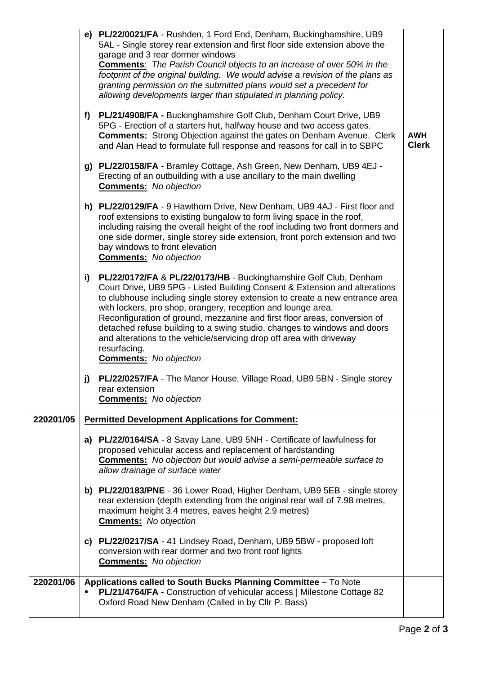|           | f  | e) PL/22/0021/FA - Rushden, 1 Ford End, Denham, Buckinghamshire, UB9<br>5AL - Single storey rear extension and first floor side extension above the<br>garage and 3 rear dormer windows<br><b>Comments:</b> The Parish Council objects to an increase of over 50% in the<br>footprint of the original building. We would advise a revision of the plans as<br>granting permission on the submitted plans would set a precedent for<br>allowing developments larger than stipulated in planning policy.<br>PL/21/4908/FA - Buckinghamshire Golf Club, Denham Court Drive, UB9      |                            |
|-----------|----|-----------------------------------------------------------------------------------------------------------------------------------------------------------------------------------------------------------------------------------------------------------------------------------------------------------------------------------------------------------------------------------------------------------------------------------------------------------------------------------------------------------------------------------------------------------------------------------|----------------------------|
|           |    | 5PG - Erection of a starters hut, halfway house and two access gates.<br><b>Comments:</b> Strong Objection against the gates on Denham Avenue. Clerk<br>and Alan Head to formulate full response and reasons for call in to SBPC                                                                                                                                                                                                                                                                                                                                                  | <b>AWH</b><br><b>Clerk</b> |
|           |    | g) PL/22/0158/FA - Bramley Cottage, Ash Green, New Denham, UB9 4EJ -<br>Erecting of an outbuilding with a use ancillary to the main dwelling<br><b>Comments:</b> No objection                                                                                                                                                                                                                                                                                                                                                                                                     |                            |
|           |    | h) PL/22/0129/FA - 9 Hawthorn Drive, New Denham, UB9 4AJ - First floor and<br>roof extensions to existing bungalow to form living space in the roof,<br>including raising the overall height of the roof including two front dormers and<br>one side dormer, single storey side extension, front porch extension and two<br>bay windows to front elevation<br><b>Comments:</b> No objection                                                                                                                                                                                       |                            |
|           | i) | PL/22/0172/FA & PL/22/0173/HB - Buckinghamshire Golf Club, Denham<br>Court Drive, UB9 5PG - Listed Building Consent & Extension and alterations<br>to clubhouse including single storey extension to create a new entrance area<br>with lockers, pro shop, orangery, reception and lounge area.<br>Reconfiguration of ground, mezzanine and first floor areas, conversion of<br>detached refuse building to a swing studio, changes to windows and doors<br>and alterations to the vehicle/servicing drop off area with driveway<br>resurfacing.<br><b>Comments:</b> No objection |                            |
|           | j) | PL/22/0257/FA - The Manor House, Village Road, UB9 5BN - Single storey<br>rear extension<br><b>Comments:</b> No objection                                                                                                                                                                                                                                                                                                                                                                                                                                                         |                            |
| 220201/05 |    | <b>Permitted Development Applications for Comment:</b>                                                                                                                                                                                                                                                                                                                                                                                                                                                                                                                            |                            |
|           |    | a) PL/22/0164/SA - 8 Savay Lane, UB9 5NH - Certificate of lawfulness for<br>proposed vehicular access and replacement of hardstanding<br><b>Comments:</b> No objection but would advise a semi-permeable surface to<br>allow drainage of surface water                                                                                                                                                                                                                                                                                                                            |                            |
|           |    | b) PL/22/0183/PNE - 36 Lower Road, Higher Denham, UB9 5EB - single storey<br>rear extension (depth extending from the original rear wall of 7.98 metres,<br>maximum height 3.4 metres, eaves height 2.9 metres)<br><b>Cmments:</b> No objection                                                                                                                                                                                                                                                                                                                                   |                            |
|           |    | c) PL/22/0217/SA - 41 Lindsey Road, Denham, UB9 5BW - proposed loft<br>conversion with rear dormer and two front roof lights<br><b>Comments:</b> No objection                                                                                                                                                                                                                                                                                                                                                                                                                     |                            |
| 220201/06 | ٠  | Applications called to South Bucks Planning Committee - To Note<br>PL/21/4764/FA - Construction of vehicular access   Milestone Cottage 82<br>Oxford Road New Denham (Called in by Cllr P. Bass)                                                                                                                                                                                                                                                                                                                                                                                  |                            |